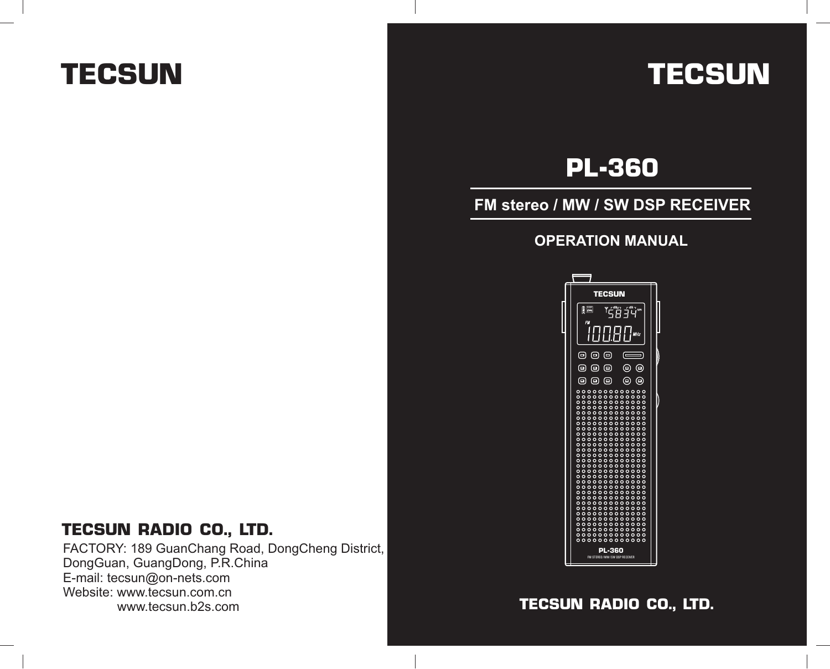# **TECSUN TECSUN**

# **PL-360**

## **FM stereo / MW / SW DSP RECEIVER**

### **OPERATION MANUAL**



## **TECSUN RADIO CO., LTD.**

FACTORY: 189 GuanChang Road, DongCheng District, DongGuan, GuangDong, P.R.China E-mail: tecsun@on-nets.com Website: www.tecsun.com.cn www.tecsun.b2s.com

# **TECSUN RADIO CO., LTD.**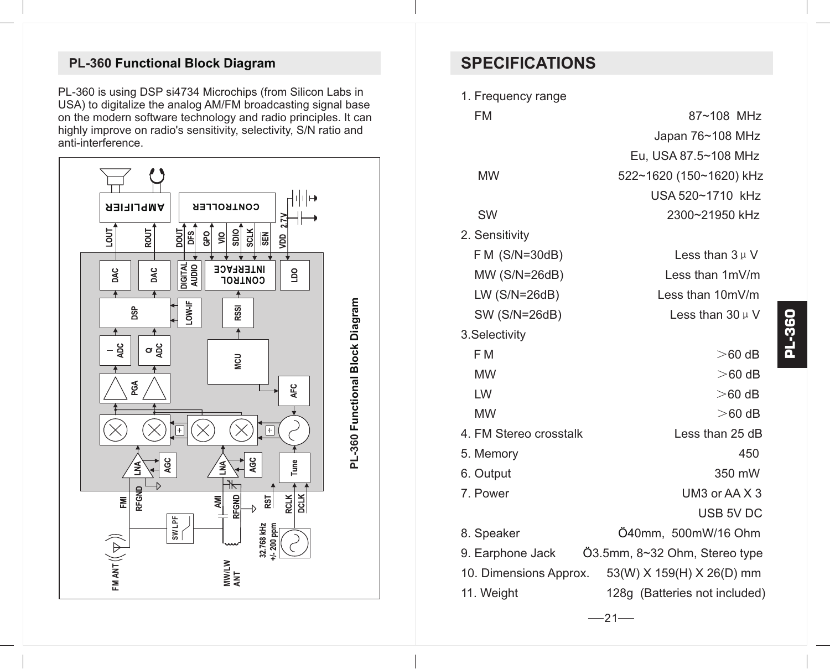# **PL-360 Functional Block Diagram SPECIFICATIONS**

PL-360 is using DSP si4734 Microchips (from Silicon Labs in USA) to digitalize the analog AM/FM broadcasting signal base on the modern software technology and radio principles. It can highly improve on radio's sensitivity, selectivity, S/N ratio and anti-interference.



1. Frequency range FM 87~108 MHz Japan 76~108 MHz Eu, USA 87.5~108 MHz MW 522~1620 (150~1620) kHz USA 520~1710 kHz SW 2300~21950 kHz 2. Sensitivity F M (S/N=30dB) Less than  $3 \mu V$  MW (S/N=26dB) Less than 1mV/m LW (S/N=26dB) Less than 10mV/m SW (S/N=26dB) Less than  $30 \mu$  V 3.Selectivity  $FM$   $>60 dB$ MW  $>$  60 dB  $L$ W  $>$  60 dB MW  $>$  60 dB 4. FM Stereo crosstalk Less than 25 dB 5. Memory 450 6. Output 350 mW 7. Power UM3 or AA X 3 USB 5V DC 8. Speaker 0mm, 500mW/16 Ohm Ö4 9. Earphone Jack  $\qquad$  03.5mm, 8~32 Ohm, Stereo type 10. Dimensions Approx. 53(W) X 159(H) X 26(D) mm 11. Weight 128g (Batteries not included)

 $-21-$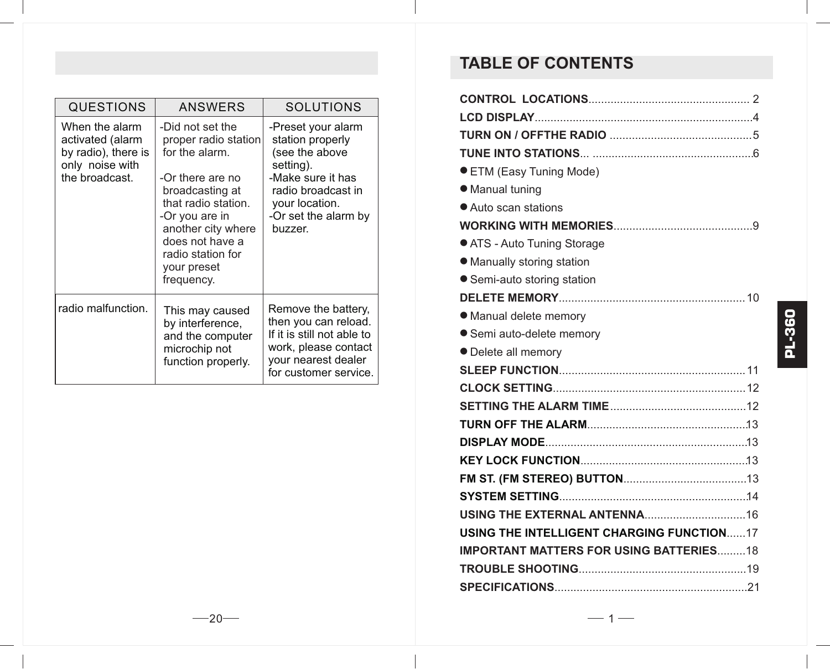| QUESTIONS                                                                                      | ANSWERS                                                                                                                                                                                                                               | <b>SOLUTIONS</b>                                                                                                                                                      |
|------------------------------------------------------------------------------------------------|---------------------------------------------------------------------------------------------------------------------------------------------------------------------------------------------------------------------------------------|-----------------------------------------------------------------------------------------------------------------------------------------------------------------------|
| When the alarm<br>activated (alarm<br>by radio), there is<br>only noise with<br>the broadcast. | -Did not set the<br>proper radio station<br>for the alarm.<br>-Or there are no<br>broadcasting at<br>that radio station.<br>-Or you are in<br>another city where<br>does not have a<br>radio station for<br>your preset<br>frequency. | -Preset your alarm<br>station properly<br>(see the above<br>setting).<br>-Make sure it has<br>radio broadcast in<br>your location.<br>-Or set the alarm by<br>buzzer. |
| radio malfunction.                                                                             | This may caused<br>by interference,<br>and the computer<br>microchip not<br>function properly.                                                                                                                                        | Remove the battery.<br>then you can reload.<br>If it is still not able to<br>work, please contact<br>your nearest dealer<br>for customer service.                     |

# **TABLE OF CONTENTS**

| ● ETM (Easy Tuning Mode)                         |  |  |  |  |
|--------------------------------------------------|--|--|--|--|
| • Manual tuning                                  |  |  |  |  |
| • Auto scan stations                             |  |  |  |  |
|                                                  |  |  |  |  |
| ● ATS - Auto Tuning Storage                      |  |  |  |  |
| • Manually storing station                       |  |  |  |  |
| ● Semi-auto storing station                      |  |  |  |  |
|                                                  |  |  |  |  |
| • Manual delete memory                           |  |  |  |  |
| ● Semi auto-delete memory                        |  |  |  |  |
| • Delete all memory                              |  |  |  |  |
|                                                  |  |  |  |  |
|                                                  |  |  |  |  |
|                                                  |  |  |  |  |
|                                                  |  |  |  |  |
|                                                  |  |  |  |  |
|                                                  |  |  |  |  |
|                                                  |  |  |  |  |
|                                                  |  |  |  |  |
|                                                  |  |  |  |  |
| <b>USING THE INTELLIGENT CHARGING FUNCTION17</b> |  |  |  |  |
| <b>IMPORTANT MATTERS FOR USING BATTERIES18</b>   |  |  |  |  |
|                                                  |  |  |  |  |
|                                                  |  |  |  |  |

 $-1-$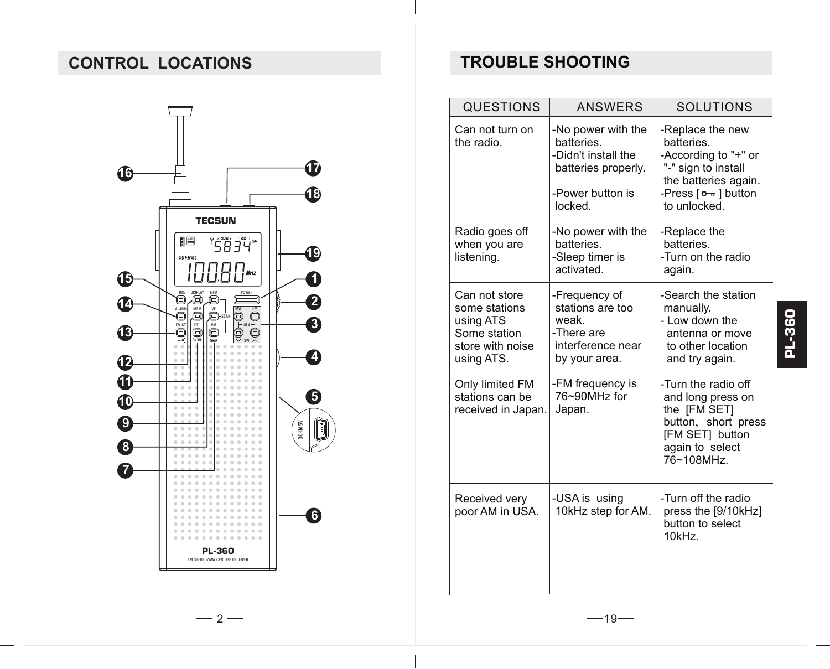# **CONTROL LOCATIONS**



# **TROUBLE SHOOTING**

| <b>QUESTIONS</b>                                                                              | <b>ANSWERS</b>                                                                                                | SOLUTIONS                                                                                                                                     |
|-----------------------------------------------------------------------------------------------|---------------------------------------------------------------------------------------------------------------|-----------------------------------------------------------------------------------------------------------------------------------------------|
| Can not turn on<br>the radio.                                                                 | -No power with the<br>batteries.<br>-Didn't install the<br>batteries properly.<br>-Power button is<br>locked. | -Replace the new<br>batteries.<br>-According to "+" or<br>"-" sign to install<br>the batteries again.<br>-Press [o---] button<br>to unlocked. |
| Radio goes off<br>when you are<br>listening.                                                  | -No power with the<br>batteries.<br>-Sleep timer is<br>activated.                                             | -Replace the<br>batteries.<br>-Turn on the radio<br>again.                                                                                    |
| Can not store<br>some stations<br>using ATS<br>Some station<br>store with noise<br>using ATS. | -Frequency of<br>stations are too<br>weak.<br>-There are<br>interference near<br>by your area.                | -Search the station<br>manually.<br>- Low down the<br>antenna or move<br>to other location<br>and try again.                                  |
| Only limited FM<br>stations can be<br>received in Japan.                                      | -FM frequency is<br>76~90MHz for<br>Japan.                                                                    | -Turn the radio off<br>and long press on<br>the [FM SET]<br>button, short press<br>[FM SET] button<br>again to select<br>76~108MHz            |
| Received very<br>poor AM in USA.                                                              | -USA is using<br>10kHz step for AM.                                                                           | -Turn off the radio<br>press the [9/10kHz]<br>button to select<br>10kHz.                                                                      |

 $-2-$ 

**PL-360**

 $-19-$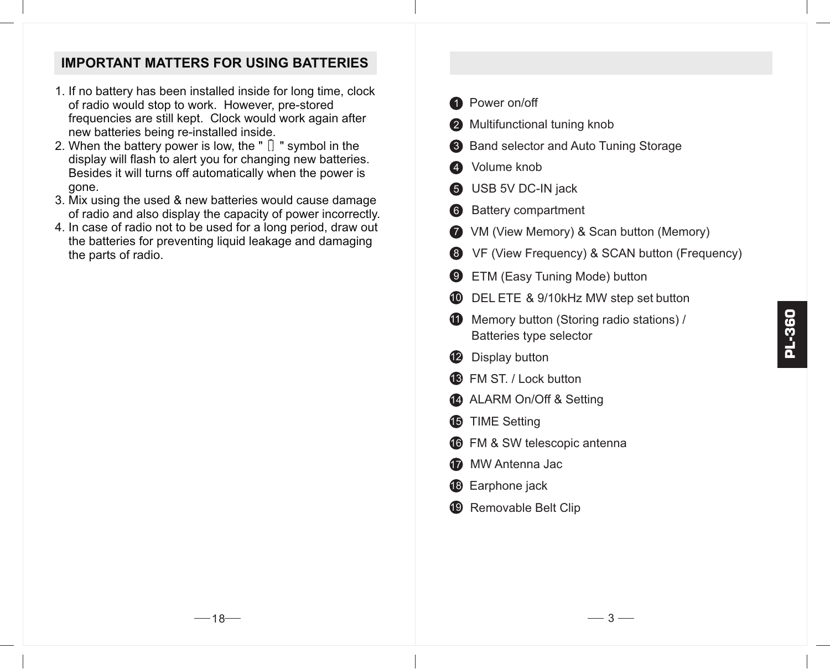#### **IMPORTANT MATTERS FOR USING BATTERIES**

- 1. If no battery has been installed inside for long time, clock of radio would stop to work. However, pre-stored frequencies are still kept. Clock would work again after new batteries being re-installed inside.
- 2. When the battery power is low, the " $\Box$  " symbol in the display will flash to alert you for changing new batteries. Besides it will turns off automatically when the power is gone.
- 3. Mix using the used & new batteries would cause damage of radio and also display the capacity of power incorrectly.
- 4. In case of radio not to be used for a long period, draw out the batteries for preventing liquid leakage and damaging the parts of radio.

|   | <b>1</b> Power on/off                                               |
|---|---------------------------------------------------------------------|
|   | 2 Multifunctional tuning knob                                       |
|   | 8 Band selector and Auto Tuning Storage                             |
|   | 4 Volume knob                                                       |
|   | <b>6</b> USB 5V DC-IN jack                                          |
|   | 6 Battery compartment                                               |
|   | • VM (View Memory) & Scan button (Memory)                           |
|   | <b>8</b> VF (View Frequency) & SCAN button (Frequency)              |
| 9 | ETM (Easy Tuning Mode) button                                       |
|   | <b>10</b> DEL ETE & 9/10kHz MW step set button                      |
|   | Memory button (Storing radio stations) /<br>Batteries type selector |
|   | <b>12</b> Display button                                            |
|   | <b>68</b> FM ST. / Lock button                                      |
|   | ALARM On/Off & Setting                                              |
|   | <b>6</b> TIME Setting                                               |
|   | <b>6</b> FM & SW telescopic antenna                                 |
|   | MW Antenna Jac                                                      |
|   | <b>18</b> Earphone jack                                             |
|   | <sup>19</sup> Removable Belt Clip                                   |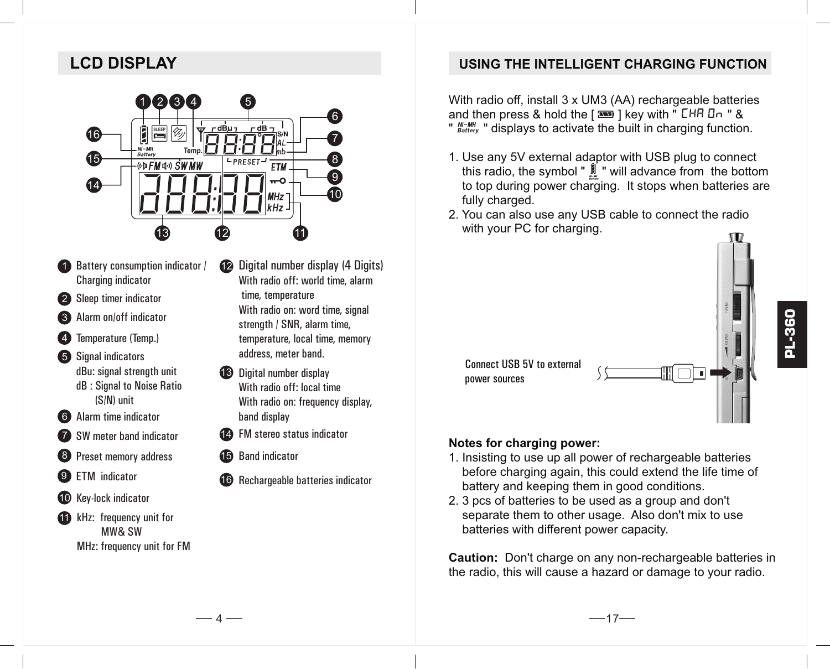# **LCD DISPLAY**



- **1** Battery consumption indicator / Charging indicator
- 2 Sleep timer indicator
- **3** Alarm on/off indicator
- **4** Temperature (Temp.)
- **5** Signal indicators dBu: signal strength unit dB : Signal to Noise Ratio (S/N) unit
- 6 Alarm time indicator
- 7 SW meter band indicator
- 8 Preset memory address
- 9 ETM indicator
- 10 Key-lock indicator
- **11** kHz: frequency unit for MW& SW MHz: frequency unit for FM
- Digital number display (4 Digits) With radio off: world time, alarm time, temperature With radio on: word time, signal strength / SNR, alarm time, temperature, local time, memory address, meter band. 12
- Digital number display 13 With radio off: local time With radio on: frequency display, band display
- 14 FM stereo status indicator
- 15 Band indicator
- 16 Rechargeable batteries indicator

#### **USING THE INTELLIGENT CHARGING FUNCTION**

With radio off, install 3 x UM3 (AA) rechargeable batteries and then press & hold the  $\sqrt{2}$  key with  $\sqrt{2}$   $CHB$   $\sqrt{3}$   $R$ "  $_{\text{Batter}}^{\text{Ni}-\text{MH}}$  " displays to activate the built in charging function.

- 1. Use any 5V external adaptor with USB plug to connect this radio, the symbol "  $\parallel$  " will advance from the bottom to top during power charging. It stops when batteries are fully charged.
- 2. You can also use any USB cable to connect the radio with your PC for charging.

Connect USB 5V to external power sources

# ∭ ⊡ा ज

#### **Notes for charging power:**

- 1. Insisting to use up all power of rechargeable batteries before charging again, this could extend the life time of battery and keeping them in good conditions.
- 2. 3 pcs of batteries to be used as a group and don't separate them to other usage. Also don't mix to use batteries with different power capacity.

**Caution:** Don't charge on any non-rechargeable batteries in the radio, this will cause a hazard or damage to your radio.

**PL-360**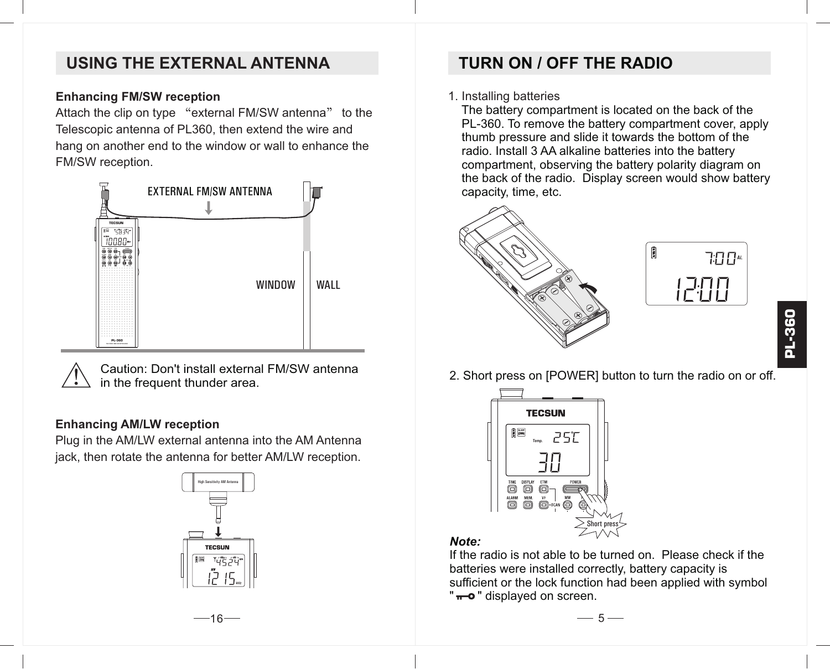# **USING THE EXTERNAL ANTENNA**

#### **Enhancing FM/SW reception**

Attach the clip on type "external FM/SW antenna" to the Telescopic antenna of PL360, then extend the wire and hang on another end to the window or wall to enhance the FM/SW reception.



Caution: Don't install external FM/SW antenna in the frequent thunder area.

#### **Enhancing AM/LW reception**

Plug in the AM/LW external antenna into the AM Antenna jack, then rotate the antenna for better AM/LW reception.



# **TURN ON / OFF THE RADIO**

#### 1. Installing batteries

 The battery compartment is located on the back of the PL-360. To remove the battery compartment cover, apply thumb pressure and slide it towards the bottom of the radio. Install 3 AA alkaline batteries into the battery compartment, observing the battery polarity diagram on the back of the radio. Display screen would show battery capacity, time, etc.





- **PL-360**
- 2. Short press on [POWER] button to turn the radio on or off.



#### *Note:*

If the radio is not able to be turned on. Please check if the batteries were installed correctly, battery capacity is sufficient or the lock function had been applied with symbol "  $\leftarrow$  o " displayed on screen.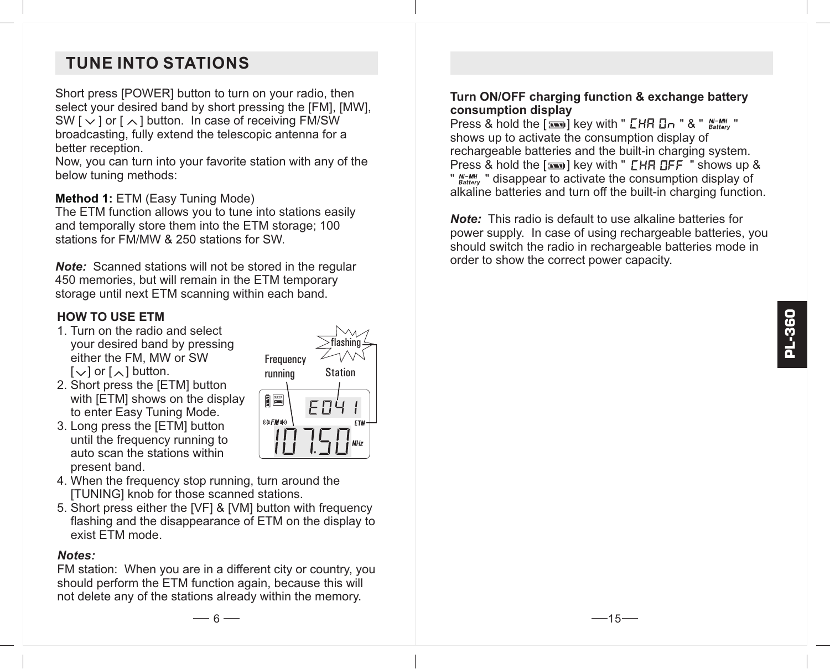# **TUNE INTO STATIONS**

Short press [POWER] button to turn on your radio, then select your desired band by short pressing the [FM], [MW], SW  $\lceil \vee \rceil$  or  $\lceil \wedge \rceil$  button. In case of receiving FM/SW broadcasting, fully extend the telescopic antenna for a better reception.

Now, you can turn into your favorite station with any of the below tuning methods:

#### **Method 1: ETM (Easy Tuning Mode)**

The ETM function allows you to tune into stations easily and temporally store them into the ETM storage; 100 stations for FM/MW & 250 stations for SW.

*Note:* Scanned stations will not be stored in the regular 450 memories, but will remain in the ETM temporary storage until next ETM scanning within each band.

#### **HOW TO USE ETM**

- 1. Turn on the radio and select your desired band by pressing either the FM, MW or SW  $[\vee]$  or  $[\wedge]$  button.
- 2. Short press the [ETM] button with **IETMI** shows on the display to enter Easy Tuning Mode.
- 3. Long press the [ETM] button until the frequency running to auto scan the stations within present band.
- flashing **Frequency** running Station **BLE**  $E \Pi$ (<br />
<sub>(\*</sub>)
- 4. When the frequency stop running, turn around the [TUNING] knob for those scanned stations.
- 5. Short press either the [VF] & [VM] button with frequency flashing and the disappearance of ETM on the display to exist ETM mode.

#### *Notes:*

FM station: When you are in a different city or country, you should perform the ETM function again, because this will not delete any of the stations already within the memory.

#### **Turn ON/OFF charging function & exchange battery consumption display**

Press & hold the  $[$  **B**  $]$  key with "  $CHH$   $IH \sim$  " & "  $^{N-MH}_{Batter}$ " shows up to activate the consumption display of rechargeable batteries and the built-in charging system. Press  $\&$  hold the  $[$   $\equiv$   $\equiv$   $]$  key with "  $\Gamma$  HR  $\Pi$  FF  $\equiv$  " shows up  $\&$ " N<sup>TMH</sup> " disappear to activate the consumption display of alkaline batteries and turn off the built-in charging function.

*Note:* This radio is default to use alkaline batteries for power supply. In case of using rechargeable batteries, you should switch the radio in rechargeable batteries mode in order to show the correct power capacity.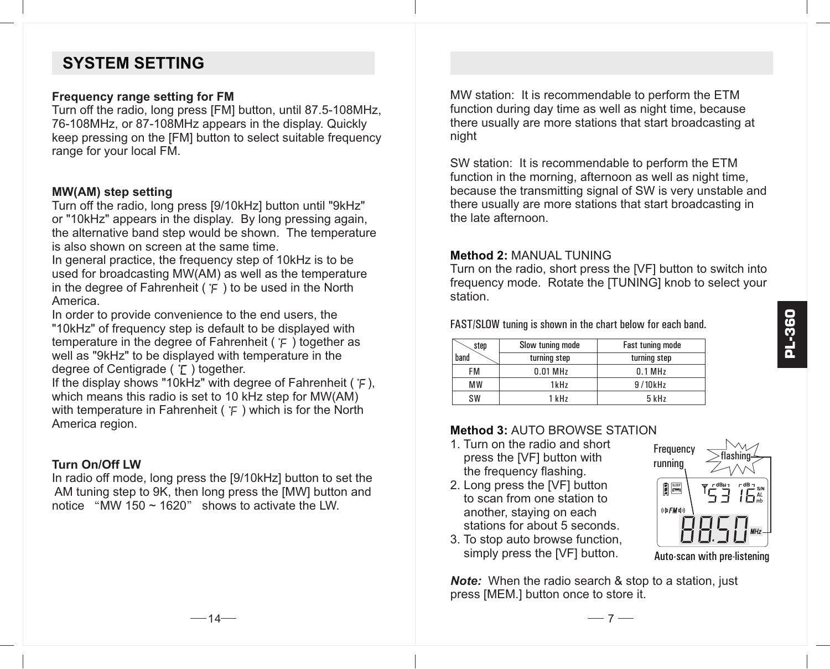# **SYSTEM SETTING**

#### **Frequency range setting for FM**

Turn off the radio, long press [FM] button, until 87.5-108MHz, 76-108MHz, or 87-108MHz appears in the display. Quickly keep pressing on the [FM] button to select suitable frequency range for your local FM.

#### **MW(AM) step setting**

Turn off the radio, long press [9/10kHz] button until "9kHz" or "10kHz" appears in the display. By long pressing again, the alternative band step would be shown. The temperature is also shown on screen at the same time.

In general practice, the frequency step of 10kHz is to be used for broadcasting MW(AM) as well as the temperature in the degree of Fahrenheit ( $\in$ ) to be used in the North America.

In order to provide convenience to the end users, the "10kHz" of frequency step is default to be displayed with temperature in the degree of Fahrenheit ( $\epsilon$ ) together as well as "9kHz" to be displayed with temperature in the degree of Centigrade ( $\Gamma$ ) together.

If the display shows "10kHz" with degree of Fahrenheit ( $E$ ). which means this radio is set to 10 kHz step for MW(AM) with temperature in Fahrenheit ( $\mathcal{F}$ ) which is for the North America region.

#### **Turn On/Off LW**

In radio off mode, long press the [9/10kHz] button to set the AM tuning step to 9K, then long press the [MW] button and notice "MW 150 ~ 1620" shows to activate the LW.

MW station: It is recommendable to perform the ETM function during day time as well as night time, because there usually are more stations that start broadcasting at night

SW station: It is recommendable to perform the ETM function in the morning, afternoon as well as night time. because the transmitting signal of SW is very unstable and there usually are more stations that start broadcasting in the late afternoon.

#### **Method 2:** MANUAL TUNING

Turn on the radio, short press the [VF] button to switch into frequency mode. Rotate the [TUNING] knob to select your station.

FAST/SLOW tuning is shown in the chart below for each band.

| step      | Slow tuning mode | <b>Fast tuning mode</b> |
|-----------|------------------|-------------------------|
| band      | turning step     | turning step            |
| FM        | $0.01$ MHz       | 0.1 MHz                 |
| <b>MW</b> | 1kHz             | 9/10kHz                 |
| SW        | 1 kHz            | 5 kHz                   |

#### **Method 3:** AUTO BROWSE STATION

- 1. Turn on the radio and short press the [VF] button with the frequency flashing.
- 2. Long press the [VF] button to scan from one station to another, staying on each stations for about 5 seconds.
- 3. To stop auto browse function, simply press the [VF] button.

**Note:** When the radio search & stop to a station, just press [MEM.] button once to store it.



Auto-scan with pre-listening

 $-14-$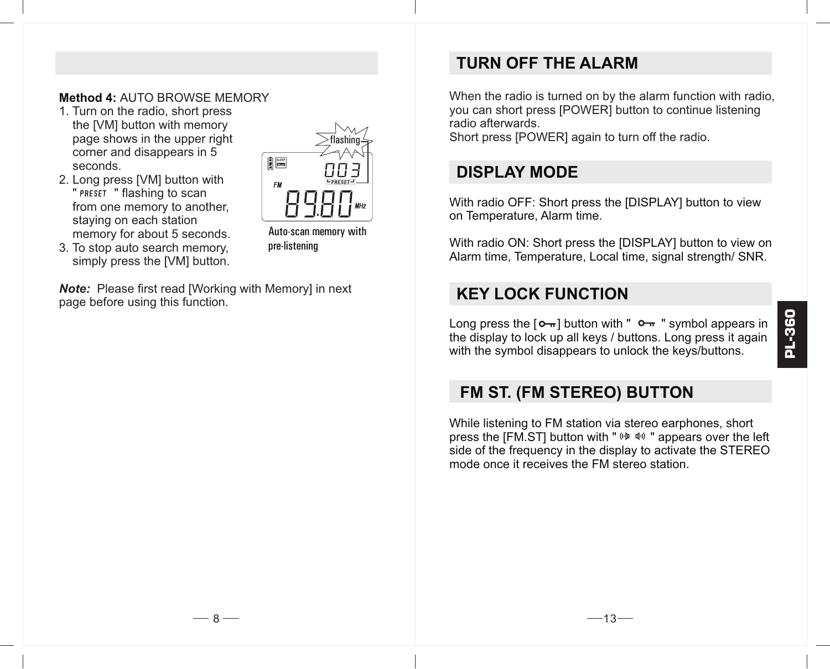#### **Method 4:** AUTO BROWSE MEMORY

- 1. Turn on the radio, short press the [VM] button with memory page shows in the upper right corner and disappears in 5 seconds.
- 2. Long press [VM] button with " PRESET " flashing to scan from one memory to another, staying on each station memory for about 5 seconds.

3. To stop auto search memory, simply press the [VM] button.



Auto-scan memory with pre-listening

*Note:* Please first read [Working with Memory] in next page before using this function.

# **TURN OFF THE ALARM**

When the radio is turned on by the alarm function with radio. you can short press [POWER] button to continue listening radio afterwards.

Short press [POWER] again to turn off the radio.

# **DISPLAY MODE**

With radio OFF: Short press the IDISPLAYI button to view on Temperature, Alarm time.

With radio ON: Short press the [DISPLAY] button to view on Alarm time, Temperature, Local time, signal strength/ SNR.

# **KEY LOCK FUNCTION**

Long press the  $[0 - 1]$  button with "  $0 - 1$  symbol appears in the display to lock up all keys / buttons. Long press it again with the symbol disappears to unlock the keys/buttons.

# **FM ST. (FM STEREO) BUTTON**

While listening to FM station via stereo earphones, short press the [FM.ST] button with " $(P \oplus P)$ " appears over the left side of the frequency in the display to activate the STEREO mode once it receives the FM stereo station.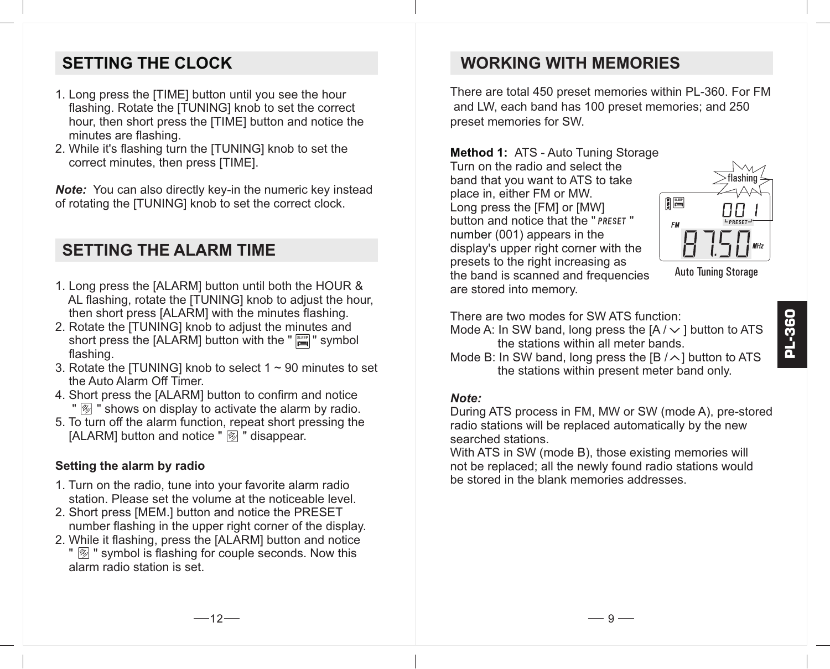# **SETTING THE CLOCK**

- 1. Long press the [TIME] button until you see the hour flashing. Rotate the [TUNING] knob to set the correct hour, then short press the [TIME] button and notice the minutes are flashing.
- 2. While it's flashing turn the [TUNING] knob to set the correct minutes, then press [TIME].

*Note:* You can also directly key-in the numeric key instead of rotating the [TUNING] knob to set the correct clock.

# **SETTING THE ALARM TIME**

- 1. Long press the [ALARM] button until both the HOUR & AL flashing, rotate the ITUNINGI knob to adjust the hour. then short press [ALARM] with the minutes flashing.
- 2. Rotate the [TUNING] knob to adjust the minutes and short press the [ALARM] button with the " |<del>"</del>" symbol flashing.
- 3. Rotate the ITUNINGI knob to select  $1 \sim 90$  minutes to set the Auto Alarm Off Timer.
- 4. Short press the [ALARM] button to confirm and notice " $\mathbb{Z}$ " shows on display to activate the alarm by radio.
- 5. To turn off the alarm function, repeat short pressing the IALARMI button and notice " <sup>7</sup> disappear.

#### **Setting the alarm by radio**

- 1. Turn on the radio, tune into your favorite alarm radio station. Please set the volume at the noticeable level.
- 2. Short press [MEM.] button and notice the PRESET number flashing in the upper right corner of the display.
- 2. While it flashing, press the [ALARM] button and notice "  $\mathbb{Z}$  " symbol is flashing for couple seconds. Now this alarm radio station is set.

# **WORKING WITH MEMORIES**

There are total 450 preset memories within PL-360. For FM and LW, each band has 100 preset memories; and 250 preset memories for SW.

**Method 1:**  ATS - Auto Tuning Storage number (001) appears in the Turn on the radio and select the band that you want to ATS to take place in, either FM or MW. Long press the [FM] or [MW] button and notice that the " PRESET " display's upper right corner with the presets to the right increasing as the band is scanned and frequencies are stored into memory.

Auto Tuning Storage

flashing

**SLEEP** 

There are two modes for SW ATS function: Mode A: In SW band, long press the  $[A / \vee]$  button to ATS

 the stations within all meter bands. Mode B: In SW band, long press the  $[B / \land]$  button to ATS

the stations within present meter band only.

#### *Note:*

During ATS process in FM, MW or SW (mode A), pre-stored radio stations will be replaced automatically by the new searched stations.

With ATS in SW (mode B), those existing memories will not be replaced; all the newly found radio stations would be stored in the blank memories addresses.